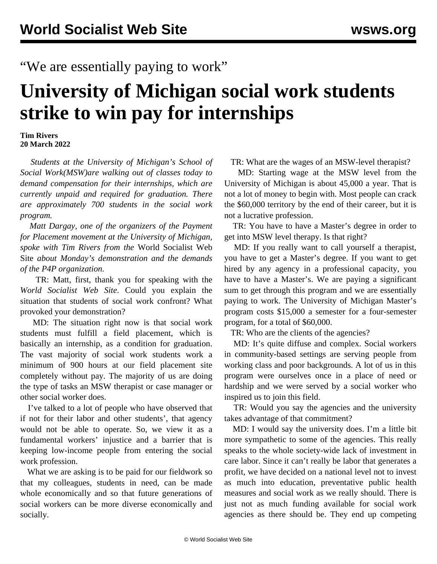## "We are essentially paying to work"

## **University of Michigan social work students strike to win pay for internships**

## **Tim Rivers 20 March 2022**

 *Students at the University of Michigan's School of Social Work(MSW)are walking out of classes today to demand compensation for their internships, which are currently unpaid and required for graduation. There are approximately 700 students in the social work program.*

 *Matt Dargay, one of the organizers of the Payment for Placement movement at the University of Michigan, spoke with Tim Rivers from the* World Socialist Web Site *about Monday's demonstration and the demands of the P4P organization.*

 TR: Matt, first, thank you for speaking with the *World Socialist Web Site*. Could you explain the situation that students of social work confront? What provoked your demonstration?

 MD: The situation right now is that social work students must fulfill a field placement, which is basically an internship, as a condition for graduation. The vast majority of social work students work a minimum of 900 hours at our field placement site completely without pay. The majority of us are doing the type of tasks an MSW therapist or case manager or other social worker does.

 I've talked to a lot of people who have observed that if not for their labor and other students', that agency would not be able to operate. So, we view it as a fundamental workers' injustice and a barrier that is keeping low-income people from entering the social work profession.

 What we are asking is to be paid for our fieldwork so that my colleagues, students in need, can be made whole economically and so that future generations of social workers can be more diverse economically and socially.

TR: What are the wages of an MSW-level therapist?

 MD: Starting wage at the MSW level from the University of Michigan is about 45,000 a year. That is not a lot of money to begin with. Most people can crack the \$60,000 territory by the end of their career, but it is not a lucrative profession.

 TR: You have to have a Master's degree in order to get into MSW level therapy. Is that right?

 MD: If you really want to call yourself a therapist, you have to get a Master's degree. If you want to get hired by any agency in a professional capacity, you have to have a Master's. We are paying a significant sum to get through this program and we are essentially paying to work. The University of Michigan Master's program costs \$15,000 a semester for a four-semester program, for a total of \$60,000.

TR: Who are the clients of the agencies?

 MD: It's quite diffuse and complex. Social workers in community-based settings are serving people from working class and poor backgrounds. A lot of us in this program were ourselves once in a place of need or hardship and we were served by a social worker who inspired us to join this field.

 TR: Would you say the agencies and the university takes advantage of that commitment?

 MD: I would say the university does. I'm a little bit more sympathetic to some of the agencies. This really speaks to the whole society-wide lack of investment in care labor. Since it can't really be labor that generates a profit, we have decided on a national level not to invest as much into education, preventative public health measures and social work as we really should. There is just not as much funding available for social work agencies as there should be. They end up competing